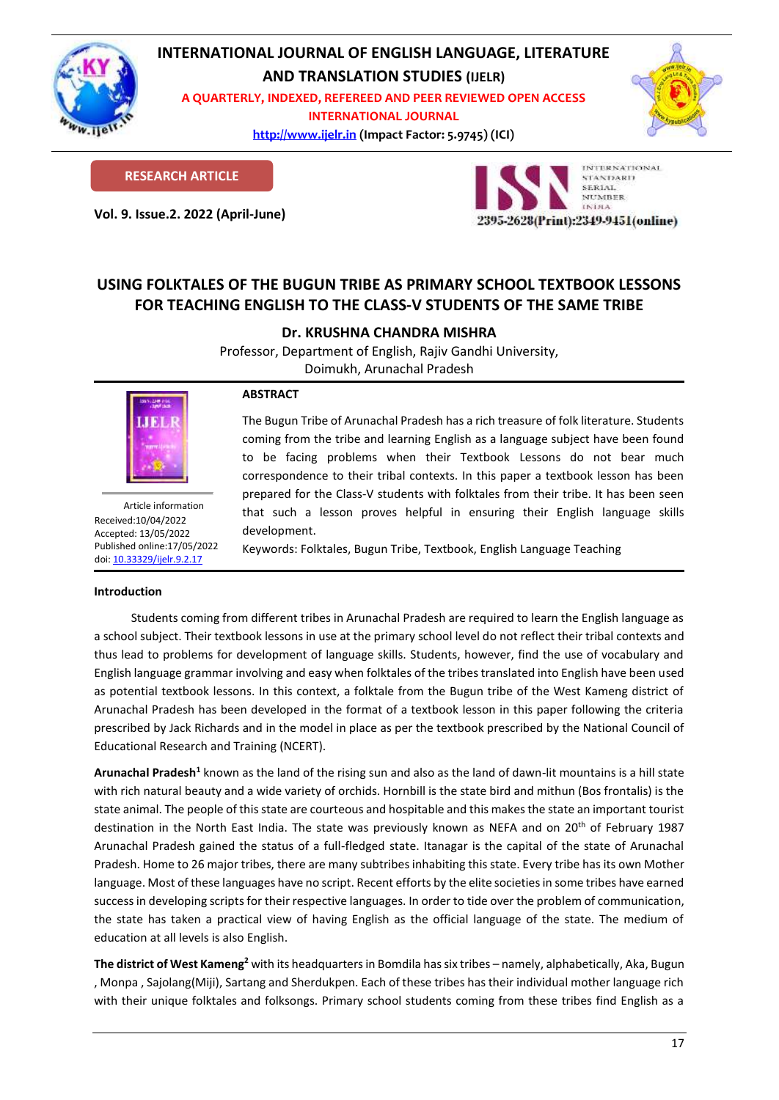

## **INTERNATIONAL JOURNAL OF ENGLISH LANGUAGE, LITERATURE**

**AND TRANSLATION STUDIES (IJELR)**

**A QUARTERLY, INDEXED, REFEREED AND PEER REVIEWED OPEN ACCESS INTERNATIONAL JOURNAL**

> **[http://www.ijelr.in](http://www.ijelr.in/) (Impact Factor: 5.9745) (ICI) KY PUBLICATIONS**



**RESEARCH ARTICLE**

**Vol. 9. Issue.2. 2022 (April-June) ARTICLE**



## **USING FOLKTALES OF THE BUGUN TRIBE AS PRIMARY SCHOOL TEXTBOOK LESSONS FOR TEACHING ENGLISH TO THE CLASS-V STUDENTS OF THE SAME TRIBE**

**Dr. KRUSHNA CHANDRA MISHRA**

Professor, Department of English, Rajiv Gandhi University, Doimukh, Arunachal Pradesh



Article information Received:10/04/2022 Accepted: 13/05/2022 Published online:17/05/2022 [doi: 10.33329/ijelr.9.2.1](http://www.ijelr.in/)7

# **Introduction**

### **ABSTRACT**

The Bugun Tribe of Arunachal Pradesh has a rich treasure of folk literature. Students coming from the tribe and learning English as a language subject have been found to be facing problems when their Textbook Lessons do not bear much correspondence to their tribal contexts. In this paper a textbook lesson has been prepared for the Class-V students with folktales from their tribe. It has been seen that such a lesson proves helpful in ensuring their English language skills development.

Keywords: Folktales, Bugun Tribe, Textbook, English Language Teaching

Students coming from different tribes in Arunachal Pradesh are required to learn the English language as a school subject. Their textbook lessons in use at the primary school level do not reflect their tribal contexts and thus lead to problems for development of language skills. Students, however, find the use of vocabulary and English language grammar involving and easy when folktales of the tribes translated into English have been used as potential textbook lessons. In this context, a folktale from the Bugun tribe of the West Kameng district of Arunachal Pradesh has been developed in the format of a textbook lesson in this paper following the criteria prescribed by Jack Richards and in the model in place as per the textbook prescribed by the National Council of Educational Research and Training (NCERT).

Arunachal Pradesh<sup>1</sup> known as the land of the rising sun and also as the land of dawn-lit mountains is a hill state with rich natural beauty and a wide variety of orchids. Hornbill is the state bird and mithun (Bos frontalis) is the state animal. The people of this state are courteous and hospitable and this makes the state an important tourist destination in the North East India. The state was previously known as NEFA and on 20<sup>th</sup> of February 1987 Arunachal Pradesh gained the status of a full-fledged state. Itanagar is the capital of the state of Arunachal Pradesh. Home to 26 major tribes, there are many subtribes inhabiting this state. Every tribe has its own Mother language. Most of these languages have no script. Recent efforts by the elite societies in some tribes have earned success in developing scripts for their respective languages. In order to tide over the problem of communication, the state has taken a practical view of having English as the official language of the state. The medium of education at all levels is also English.

**The district of West Kameng<sup>2</sup>** with its headquarters in Bomdila has six tribes – namely, alphabetically, Aka, Bugun , Monpa , Sajolang(Miji), Sartang and Sherdukpen. Each of these tribes has their individual mother language rich with their unique folktales and folksongs. Primary school students coming from these tribes find English as a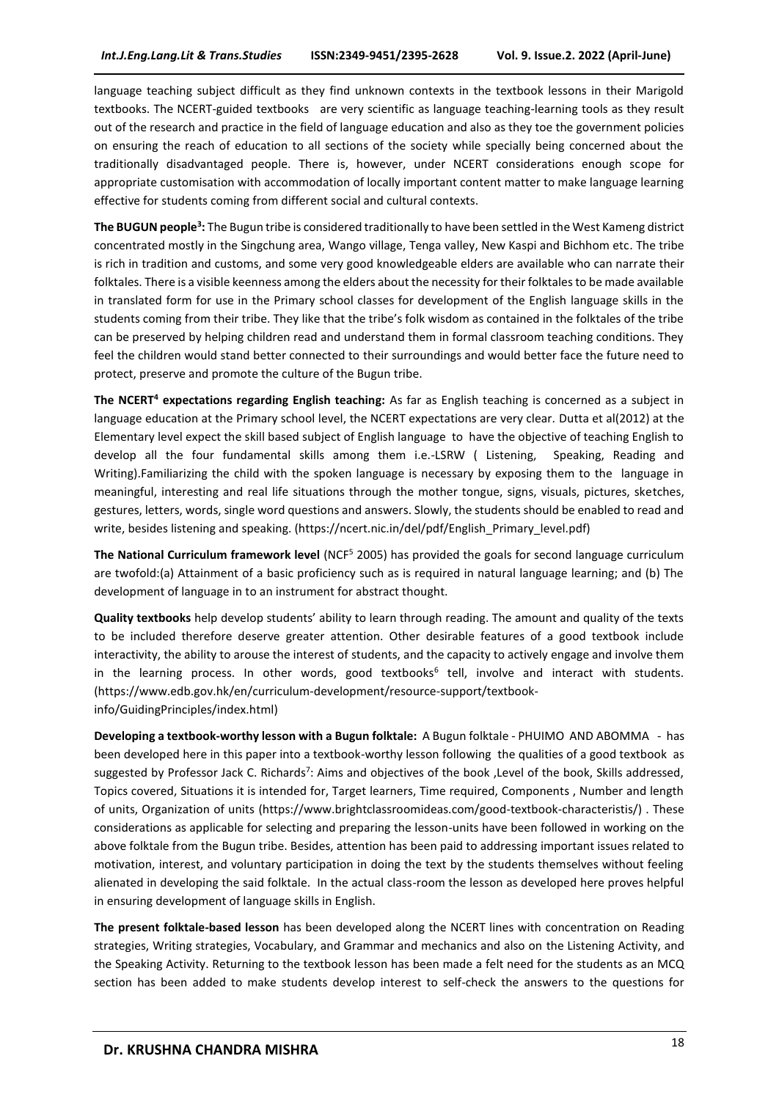language teaching subject difficult as they find unknown contexts in the textbook lessons in their Marigold textbooks. The NCERT-guided textbooks are very scientific as language teaching-learning tools as they result out of the research and practice in the field of language education and also as they toe the government policies on ensuring the reach of education to all sections of the society while specially being concerned about the traditionally disadvantaged people. There is, however, under NCERT considerations enough scope for appropriate customisation with accommodation of locally important content matter to make language learning effective for students coming from different social and cultural contexts.

**The BUGUN people<sup>3</sup> :** The Bugun tribe is considered traditionally to have been settled in the West Kameng district concentrated mostly in the Singchung area, Wango village, Tenga valley, New Kaspi and Bichhom etc. The tribe is rich in tradition and customs, and some very good knowledgeable elders are available who can narrate their folktales. There is a visible keenness among the elders about the necessity for their folktales to be made available in translated form for use in the Primary school classes for development of the English language skills in the students coming from their tribe. They like that the tribe's folk wisdom as contained in the folktales of the tribe can be preserved by helping children read and understand them in formal classroom teaching conditions. They feel the children would stand better connected to their surroundings and would better face the future need to protect, preserve and promote the culture of the Bugun tribe.

**The NCERT<sup>4</sup> expectations regarding English teaching:** As far as English teaching is concerned as a subject in language education at the Primary school level, the NCERT expectations are very clear. Dutta et al(2012) at the Elementary level expect the skill based subject of English language to have the objective of teaching English to develop all the four fundamental skills among them i.e.-LSRW ( Listening, Speaking, Reading and Writing).Familiarizing the child with the spoken language is necessary by exposing them to the language in meaningful, interesting and real life situations through the mother tongue, signs, visuals, pictures, sketches, gestures, letters, words, single word questions and answers. Slowly, the students should be enabled to read and write, besides listening and speaking. (https://ncert.nic.in/del/pdf/English\_Primary\_level.pdf)

**The National Curriculum framework level** (NCF<sup>5</sup> 2005) has provided the goals for second language curriculum are twofold:(a) Attainment of a basic proficiency such as is required in natural language learning; and (b) The development of language in to an instrument for abstract thought.

**Quality textbooks** help develop students' ability to learn through reading. The amount and quality of the texts to be included therefore deserve greater attention. Other desirable features of a good textbook include interactivity, the ability to arouse the interest of students, and the capacity to actively engage and involve them in the learning process. In other words, good textbooks<sup>6</sup> tell, involve and interact with students. (https://www.edb.gov.hk/en/curriculum-development/resource-support/textbookinfo/GuidingPrinciples/index.html)

**Developing a textbook-worthy lesson with a Bugun folktale:** A Bugun folktale - PHUIMO AND ABOMMA - has been developed here in this paper into a textbook-worthy lesson following the qualities of a good textbook as suggested by Professor Jack C. Richards<sup>7</sup>: Aims and objectives of the book, Level of the book, Skills addressed, Topics covered, Situations it is intended for, Target learners, Time required, Components , Number and length of units, Organization of units (https://www.brightclassroomideas.com/good-textbook-characteristis/) . These considerations as applicable for selecting and preparing the lesson-units have been followed in working on the above folktale from the Bugun tribe. Besides, attention has been paid to addressing important issues related to motivation, interest, and voluntary participation in doing the text by the students themselves without feeling alienated in developing the said folktale. In the actual class-room the lesson as developed here proves helpful in ensuring development of language skills in English.

**The present folktale-based lesson** has been developed along the NCERT lines with concentration on Reading strategies, Writing strategies, Vocabulary, and Grammar and mechanics and also on the Listening Activity, and the Speaking Activity. Returning to the textbook lesson has been made a felt need for the students as an MCQ section has been added to make students develop interest to self-check the answers to the questions for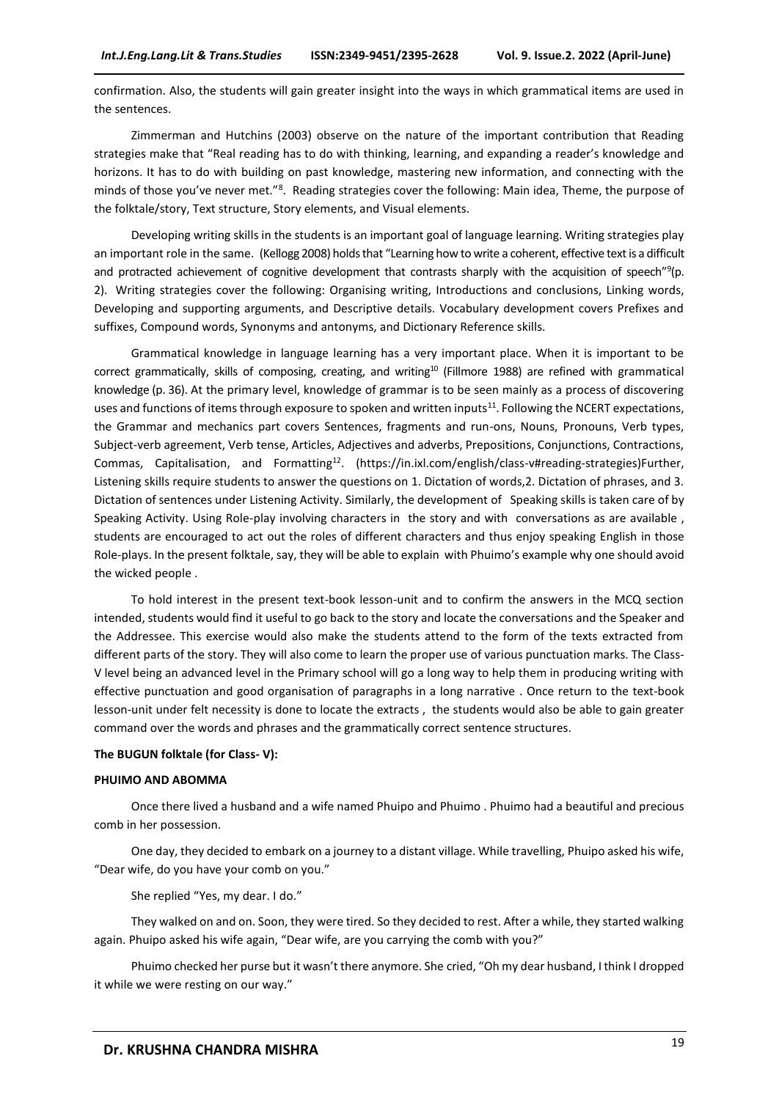confirmation. Also, the students will gain greater insight into the ways in which grammatical items are used in the sentences.

Zimmerman and Hutchins (2003) observe on the nature of the important contribution that Reading strategies make that "Real reading has to do with thinking, learning, and expanding a reader's knowledge and horizons. It has to do with building on past knowledge, mastering new information, and connecting with the minds of those you've never met."<sup>8</sup> .Reading strategies cover the following: Main idea, Theme, the purpose of the folktale/story, Text structure, Story elements, and Visual elements.

Developing writing skills in the students is an important goal of language learning. Writing strategies play an important role in the same. (Kellogg 2008) holds that "Learning how to write a coherent, effective text is a difficult and protracted achievement of cognitive development that contrasts sharply with the acquisition of speech"<sup>9</sup>(p. 2). Writing strategies cover the following: Organising writing, Introductions and conclusions, Linking words, Developing and supporting arguments, and Descriptive details. Vocabulary development covers Prefixes and suffixes, Compound words, Synonyms and antonyms, and Dictionary Reference skills.

Grammatical knowledge in language learning has a very important place. When it is important to be correct grammatically, skills of composing, creating, and writing<sup>10</sup> (Fillmore 1988) are refined with grammatical knowledge (p. 36). At the primary level, knowledge of grammar is to be seen mainly as a process of discovering uses and functions of items through exposure to spoken and written inputs<sup>11</sup>. Following the NCERT expectations, the Grammar and mechanics part covers Sentences, fragments and run-ons, Nouns, Pronouns, Verb types, Subject-verb agreement, Verb tense, Articles, Adjectives and adverbs, Prepositions, Conjunctions, Contractions, Commas, Capitalisation, and Formatting<sup>12</sup>. (https://in.ixl.com/english/class-v#reading-strategies)Further, Listening skills require students to answer the questions on 1. Dictation of words,2. Dictation of phrases, and 3. Dictation of sentences under Listening Activity. Similarly, the development of Speaking skills is taken care of by Speaking Activity. Using Role-play involving characters in the story and with conversations as are available , students are encouraged to act out the roles of different characters and thus enjoy speaking English in those Role-plays. In the present folktale, say, they will be able to explain with Phuimo's example why one should avoid the wicked people .

To hold interest in the present text-book lesson-unit and to confirm the answers in the MCQ section intended, students would find it useful to go back to the story and locate the conversations and the Speaker and the Addressee. This exercise would also make the students attend to the form of the texts extracted from different parts of the story. They will also come to learn the proper use of various punctuation marks. The Class-V level being an advanced level in the Primary school will go a long way to help them in producing writing with effective punctuation and good organisation of paragraphs in a long narrative . Once return to the text-book lesson-unit under felt necessity is done to locate the extracts , the students would also be able to gain greater command over the words and phrases and the grammatically correct sentence structures.

#### **The BUGUN folktale (for Class- V):**

#### **PHUIMO AND ABOMMA**

Once there lived a husband and a wife named Phuipo and Phuimo . Phuimo had a beautiful and precious comb in her possession.

One day, they decided to embark on a journey to a distant village. While travelling, Phuipo asked his wife, "Dear wife, do you have your comb on you."

She replied "Yes, my dear. I do."

They walked on and on. Soon, they were tired. So they decided to rest. After a while, they started walking again. Phuipo asked his wife again, "Dear wife, are you carrying the comb with you?"

Phuimo checked her purse but it wasn't there anymore. She cried, "Oh my dear husband, I think I dropped it while we were resting on our way."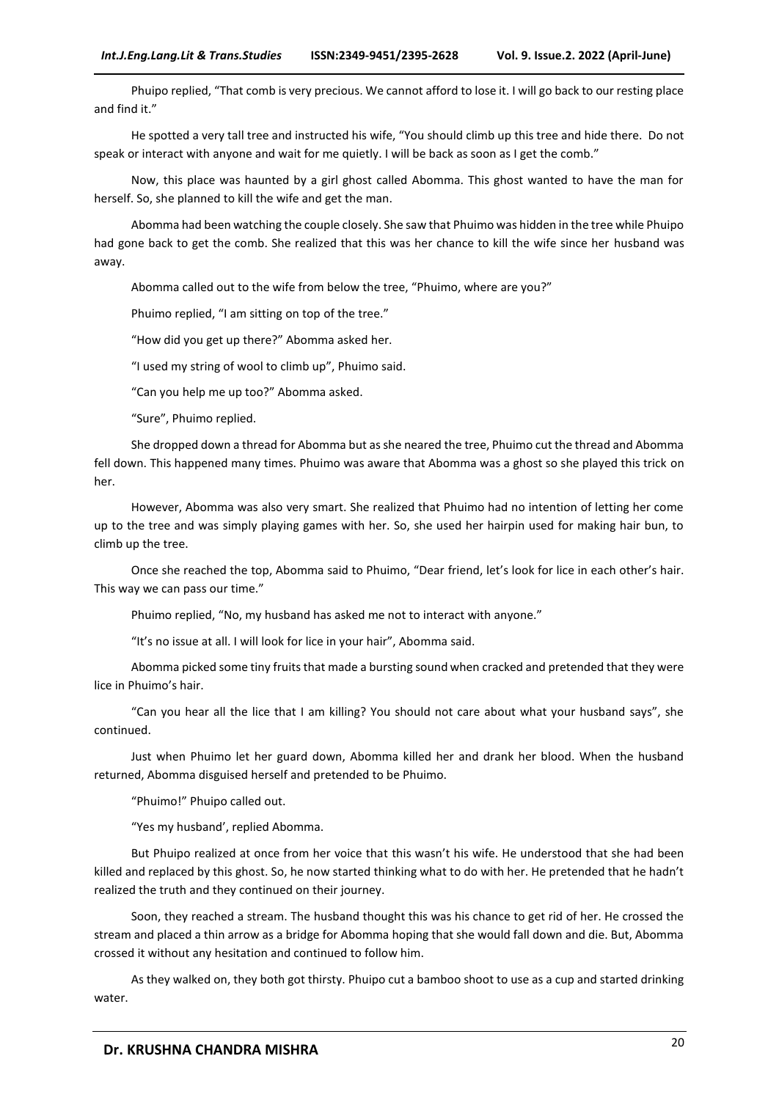Phuipo replied, "That comb is very precious. We cannot afford to lose it. I will go back to our resting place and find it."

He spotted a very tall tree and instructed his wife, "You should climb up this tree and hide there. Do not speak or interact with anyone and wait for me quietly. I will be back as soon as I get the comb."

Now, this place was haunted by a girl ghost called Abomma. This ghost wanted to have the man for herself. So, she planned to kill the wife and get the man.

Abomma had been watching the couple closely. She saw that Phuimo was hidden in the tree while Phuipo had gone back to get the comb. She realized that this was her chance to kill the wife since her husband was away.

Abomma called out to the wife from below the tree, "Phuimo, where are you?"

Phuimo replied, "I am sitting on top of the tree."

"How did you get up there?" Abomma asked her.

"I used my string of wool to climb up", Phuimo said.

"Can you help me up too?" Abomma asked.

"Sure", Phuimo replied.

She dropped down a thread for Abomma but as she neared the tree, Phuimo cut the thread and Abomma fell down. This happened many times. Phuimo was aware that Abomma was a ghost so she played this trick on her.

However, Abomma was also very smart. She realized that Phuimo had no intention of letting her come up to the tree and was simply playing games with her. So, she used her hairpin used for making hair bun, to climb up the tree.

Once she reached the top, Abomma said to Phuimo, "Dear friend, let's look for lice in each other's hair. This way we can pass our time."

Phuimo replied, "No, my husband has asked me not to interact with anyone."

"It's no issue at all. I will look for lice in your hair", Abomma said.

Abomma picked some tiny fruits that made a bursting sound when cracked and pretended that they were lice in Phuimo's hair.

"Can you hear all the lice that I am killing? You should not care about what your husband says", she continued.

Just when Phuimo let her guard down, Abomma killed her and drank her blood. When the husband returned, Abomma disguised herself and pretended to be Phuimo.

"Phuimo!" Phuipo called out.

"Yes my husband', replied Abomma.

But Phuipo realized at once from her voice that this wasn't his wife. He understood that she had been killed and replaced by this ghost. So, he now started thinking what to do with her. He pretended that he hadn't realized the truth and they continued on their journey.

Soon, they reached a stream. The husband thought this was his chance to get rid of her. He crossed the stream and placed a thin arrow as a bridge for Abomma hoping that she would fall down and die. But, Abomma crossed it without any hesitation and continued to follow him.

As they walked on, they both got thirsty. Phuipo cut a bamboo shoot to use as a cup and started drinking water.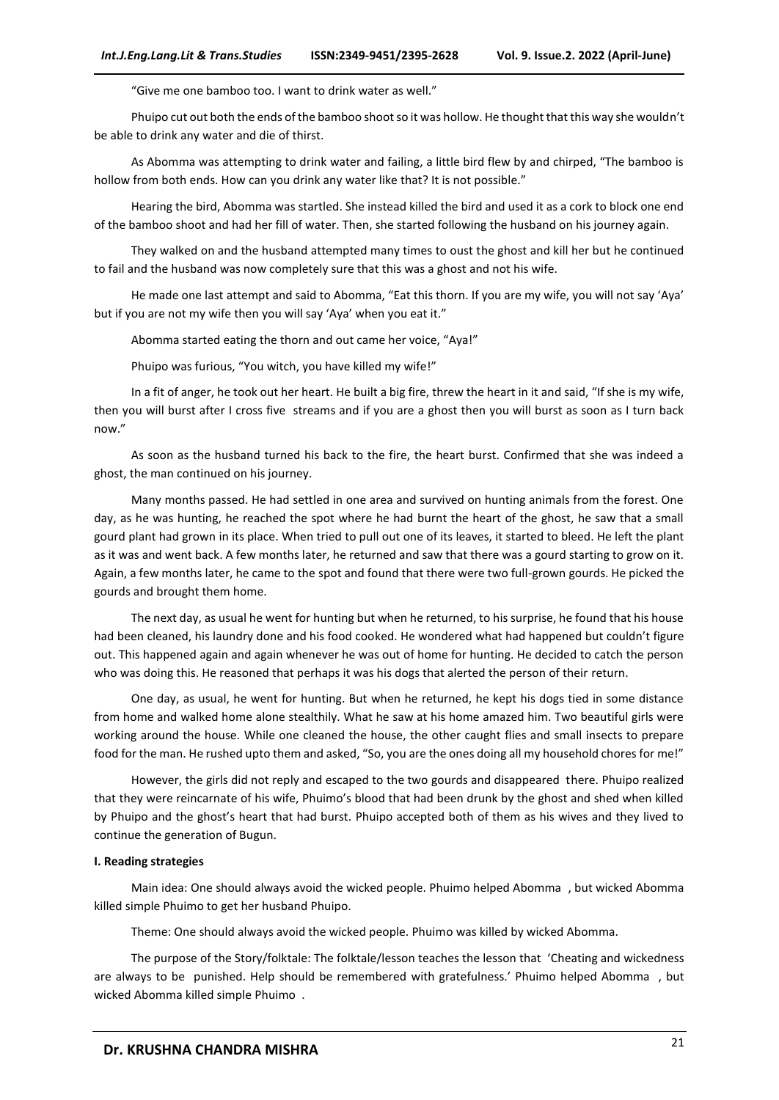"Give me one bamboo too. I want to drink water as well."

Phuipo cut out both the ends of the bamboo shoot so it was hollow. He thought that this way she wouldn't be able to drink any water and die of thirst.

As Abomma was attempting to drink water and failing, a little bird flew by and chirped, "The bamboo is hollow from both ends. How can you drink any water like that? It is not possible."

Hearing the bird, Abomma was startled. She instead killed the bird and used it as a cork to block one end of the bamboo shoot and had her fill of water. Then, she started following the husband on his journey again.

They walked on and the husband attempted many times to oust the ghost and kill her but he continued to fail and the husband was now completely sure that this was a ghost and not his wife.

He made one last attempt and said to Abomma, "Eat this thorn. If you are my wife, you will not say 'Aya' but if you are not my wife then you will say 'Aya' when you eat it."

Abomma started eating the thorn and out came her voice, "Aya!"

Phuipo was furious, "You witch, you have killed my wife!"

In a fit of anger, he took out her heart. He built a big fire, threw the heart in it and said, "If she is my wife, then you will burst after I cross five streams and if you are a ghost then you will burst as soon as I turn back now."

As soon as the husband turned his back to the fire, the heart burst. Confirmed that she was indeed a ghost, the man continued on his journey.

Many months passed. He had settled in one area and survived on hunting animals from the forest. One day, as he was hunting, he reached the spot where he had burnt the heart of the ghost, he saw that a small gourd plant had grown in its place. When tried to pull out one of its leaves, it started to bleed. He left the plant as it was and went back. A few months later, he returned and saw that there was a gourd starting to grow on it. Again, a few months later, he came to the spot and found that there were two full-grown gourds. He picked the gourds and brought them home.

The next day, as usual he went for hunting but when he returned, to his surprise, he found that his house had been cleaned, his laundry done and his food cooked. He wondered what had happened but couldn't figure out. This happened again and again whenever he was out of home for hunting. He decided to catch the person who was doing this. He reasoned that perhaps it was his dogs that alerted the person of their return.

One day, as usual, he went for hunting. But when he returned, he kept his dogs tied in some distance from home and walked home alone stealthily. What he saw at his home amazed him. Two beautiful girls were working around the house. While one cleaned the house, the other caught flies and small insects to prepare food for the man. He rushed upto them and asked, "So, you are the ones doing all my household chores for me!"

However, the girls did not reply and escaped to the two gourds and disappeared there. Phuipo realized that they were reincarnate of his wife, Phuimo's blood that had been drunk by the ghost and shed when killed by Phuipo and the ghost's heart that had burst. Phuipo accepted both of them as his wives and they lived to continue the generation of Bugun.

#### **I. Reading strategies**

Main idea: One should always avoid the wicked people. Phuimo helped Abomma , but wicked Abomma killed simple Phuimo to get her husband Phuipo.

Theme: One should always avoid the wicked people. Phuimo was killed by wicked Abomma.

The purpose of the Story/folktale: The folktale/lesson teaches the lesson that 'Cheating and wickedness are always to be punished. Help should be remembered with gratefulness.' Phuimo helped Abomma , but wicked Abomma killed simple Phuimo .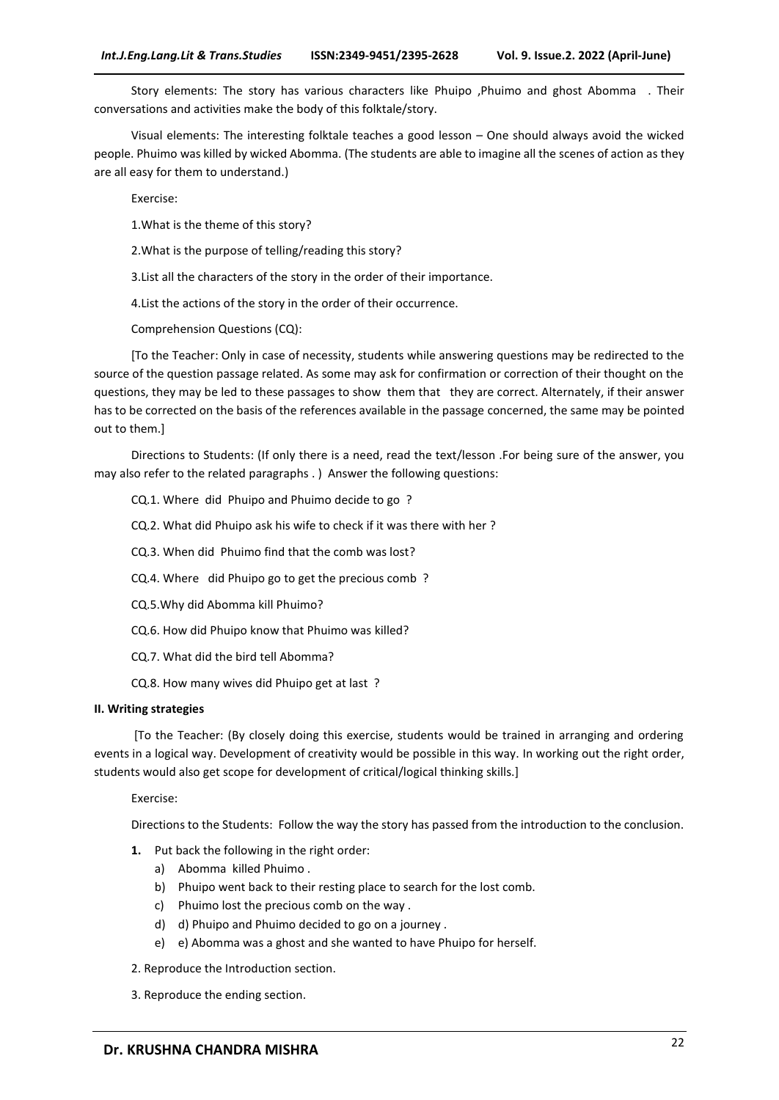Story elements: The story has various characters like Phuipo ,Phuimo and ghost Abomma . Their conversations and activities make the body of this folktale/story.

Visual elements: The interesting folktale teaches a good lesson – One should always avoid the wicked people. Phuimo was killed by wicked Abomma. (The students are able to imagine all the scenes of action as they are all easy for them to understand.)

Exercise:

1.What is the theme of this story?

2.What is the purpose of telling/reading this story?

3.List all the characters of the story in the order of their importance.

4.List the actions of the story in the order of their occurrence.

Comprehension Questions (CQ):

[To the Teacher: Only in case of necessity, students while answering questions may be redirected to the source of the question passage related. As some may ask for confirmation or correction of their thought on the questions, they may be led to these passages to show them that they are correct. Alternately, if their answer has to be corrected on the basis of the references available in the passage concerned, the same may be pointed out to them.]

Directions to Students: (If only there is a need, read the text/lesson .For being sure of the answer, you may also refer to the related paragraphs . ) Answer the following questions:

CQ.1. Where did Phuipo and Phuimo decide to go ?

CQ.2. What did Phuipo ask his wife to check if it was there with her ?

CQ.3. When did Phuimo find that the comb was lost?

CQ.4. Where did Phuipo go to get the precious comb ?

CQ.5.Why did Abomma kill Phuimo?

CQ.6. How did Phuipo know that Phuimo was killed?

CQ.7. What did the bird tell Abomma?

CQ.8. How many wives did Phuipo get at last ?

#### **II. Writing strategies**

[To the Teacher: (By closely doing this exercise, students would be trained in arranging and ordering events in a logical way. Development of creativity would be possible in this way. In working out the right order, students would also get scope for development of critical/logical thinking skills.]

Exercise:

Directions to the Students: Follow the way the story has passed from the introduction to the conclusion.

- **1.** Put back the following in the right order:
	- a) Abomma killed Phuimo .
	- b) Phuipo went back to their resting place to search for the lost comb.
	- c) Phuimo lost the precious comb on the way .
	- d) d) Phuipo and Phuimo decided to go on a journey .
	- e) e) Abomma was a ghost and she wanted to have Phuipo for herself.
- 2. Reproduce the Introduction section.
- 3. Reproduce the ending section.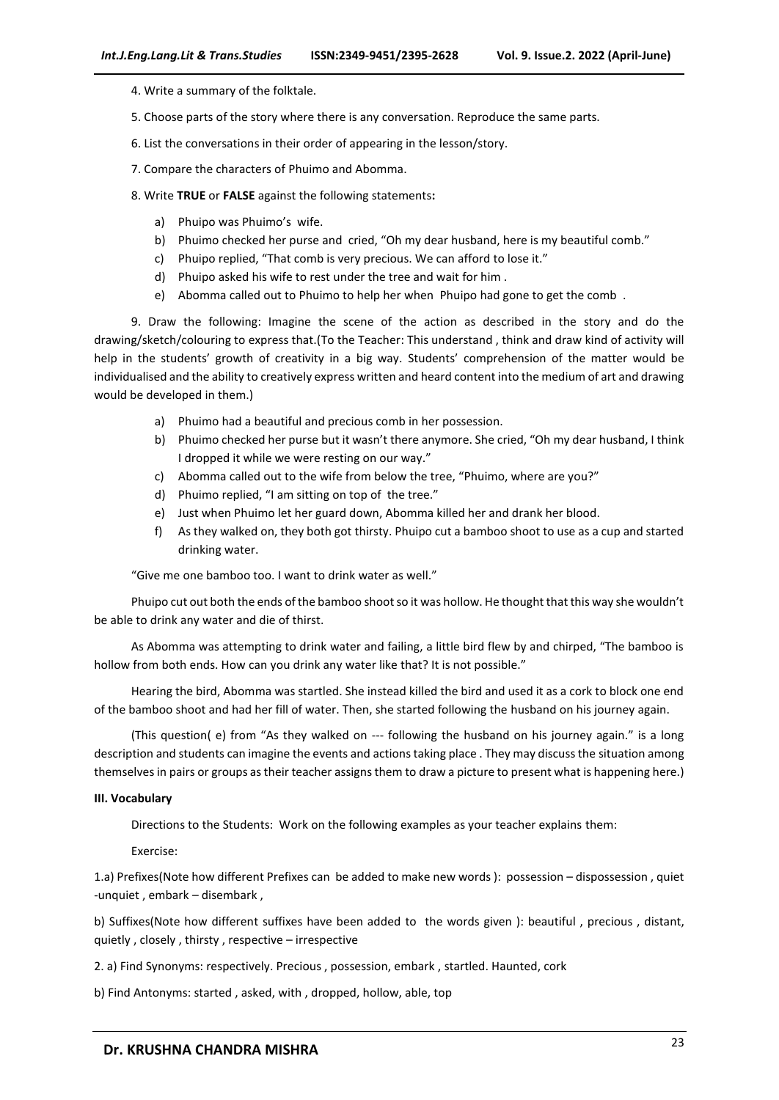- 4. Write a summary of the folktale.
- 5. Choose parts of the story where there is any conversation. Reproduce the same parts.
- 6. List the conversations in their order of appearing in the lesson/story.
- 7. Compare the characters of Phuimo and Abomma.
- 8. Write **TRUE** or **FALSE** against the following statements**:**
	- a) Phuipo was Phuimo's wife.
	- b) Phuimo checked her purse and cried, "Oh my dear husband, here is my beautiful comb."
	- c) Phuipo replied, "That comb is very precious. We can afford to lose it."
	- d) Phuipo asked his wife to rest under the tree and wait for him .
	- e) Abomma called out to Phuimo to help her when Phuipo had gone to get the comb .

9. Draw the following: Imagine the scene of the action as described in the story and do the drawing/sketch/colouring to express that.(To the Teacher: This understand , think and draw kind of activity will help in the students' growth of creativity in a big way. Students' comprehension of the matter would be individualised and the ability to creatively express written and heard content into the medium of art and drawing would be developed in them.)

- a) Phuimo had a beautiful and precious comb in her possession.
- b) Phuimo checked her purse but it wasn't there anymore. She cried, "Oh my dear husband, I think I dropped it while we were resting on our way."
- c) Abomma called out to the wife from below the tree, "Phuimo, where are you?"
- d) Phuimo replied, "I am sitting on top of the tree."
- e) Just when Phuimo let her guard down, Abomma killed her and drank her blood.
- f) As they walked on, they both got thirsty. Phuipo cut a bamboo shoot to use as a cup and started drinking water.

"Give me one bamboo too. I want to drink water as well."

Phuipo cut out both the ends of the bamboo shoot so it was hollow. He thought that this way she wouldn't be able to drink any water and die of thirst.

As Abomma was attempting to drink water and failing, a little bird flew by and chirped, "The bamboo is hollow from both ends. How can you drink any water like that? It is not possible."

Hearing the bird, Abomma was startled. She instead killed the bird and used it as a cork to block one end of the bamboo shoot and had her fill of water. Then, she started following the husband on his journey again.

(This question( e) from "As they walked on --- following the husband on his journey again." is a long description and students can imagine the events and actions taking place . They may discuss the situation among themselves in pairs or groups as their teacher assigns them to draw a picture to present what is happening here.)

#### **III. Vocabulary**

Directions to the Students: Work on the following examples as your teacher explains them:

Exercise:

1.a) Prefixes(Note how different Prefixes can be added to make new words ): possession – dispossession , quiet -unquiet , embark – disembark ,

b) Suffixes(Note how different suffixes have been added to the words given ): beautiful , precious , distant, quietly , closely , thirsty , respective – irrespective

2. a) Find Synonyms: respectively. Precious , possession, embark , startled. Haunted, cork

b) Find Antonyms: started , asked, with , dropped, hollow, able, top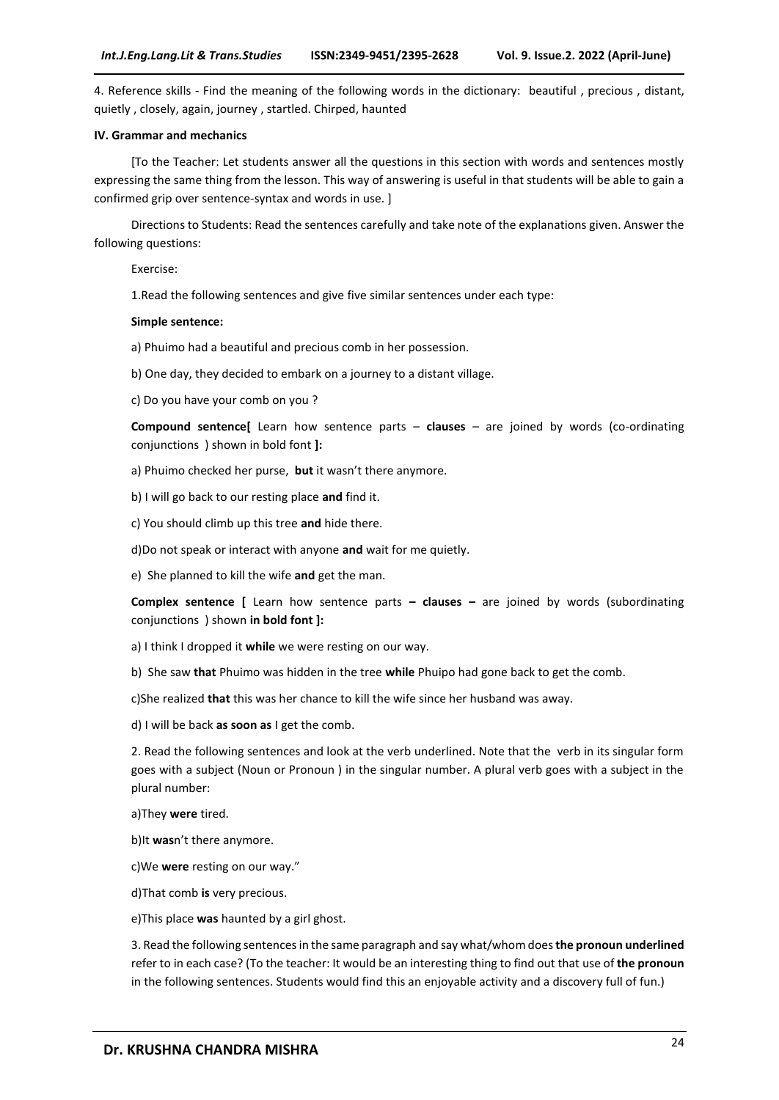4. Reference skills - Find the meaning of the following words in the dictionary: beautiful , precious , distant, quietly , closely, again, journey , startled. Chirped, haunted

#### **IV. Grammar and mechanics**

[To the Teacher: Let students answer all the questions in this section with words and sentences mostly expressing the same thing from the lesson. This way of answering is useful in that students will be able to gain a confirmed grip over sentence-syntax and words in use. ]

Directions to Students: Read the sentences carefully and take note of the explanations given. Answer the following questions:

Exercise:

1.Read the following sentences and give five similar sentences under each type:

#### **Simple sentence:**

a) Phuimo had a beautiful and precious comb in her possession.

b) One day, they decided to embark on a journey to a distant village.

c) Do you have your comb on you ?

**Compound sentence[** Learn how sentence parts – **clauses** – are joined by words (co-ordinating conjunctions ) shown in bold font **]:**

a) Phuimo checked her purse, **but** it wasn't there anymore.

b) I will go back to our resting place **and** find it.

c) You should climb up this tree **and** hide there.

d)Do not speak or interact with anyone **and** wait for me quietly.

e) She planned to kill the wife **and** get the man.

**Complex sentence [** Learn how sentence parts **– clauses –** are joined by words (subordinating conjunctions ) shown **in bold font ]:**

a) I think I dropped it **while** we were resting on our way.

b) She saw **that** Phuimo was hidden in the tree **while** Phuipo had gone back to get the comb.

c)She realized **that** this was her chance to kill the wife since her husband was away.

d) I will be back **as soon as** I get the comb.

2. Read the following sentences and look at the verb underlined. Note that the verb in its singular form goes with a subject (Noun or Pronoun ) in the singular number. A plural verb goes with a subject in the plural number:

a)They **were** tired.

b)It **was**n't there anymore.

c)We **were** resting on our way."

d)That comb **is** very precious.

e)This place **was** haunted by a girl ghost.

3. Read the following sentences in the same paragraph and say what/whom does **the pronoun underlined**  refer to in each case? (To the teacher: It would be an interesting thing to find out that use of **the pronoun** in the following sentences. Students would find this an enjoyable activity and a discovery full of fun.)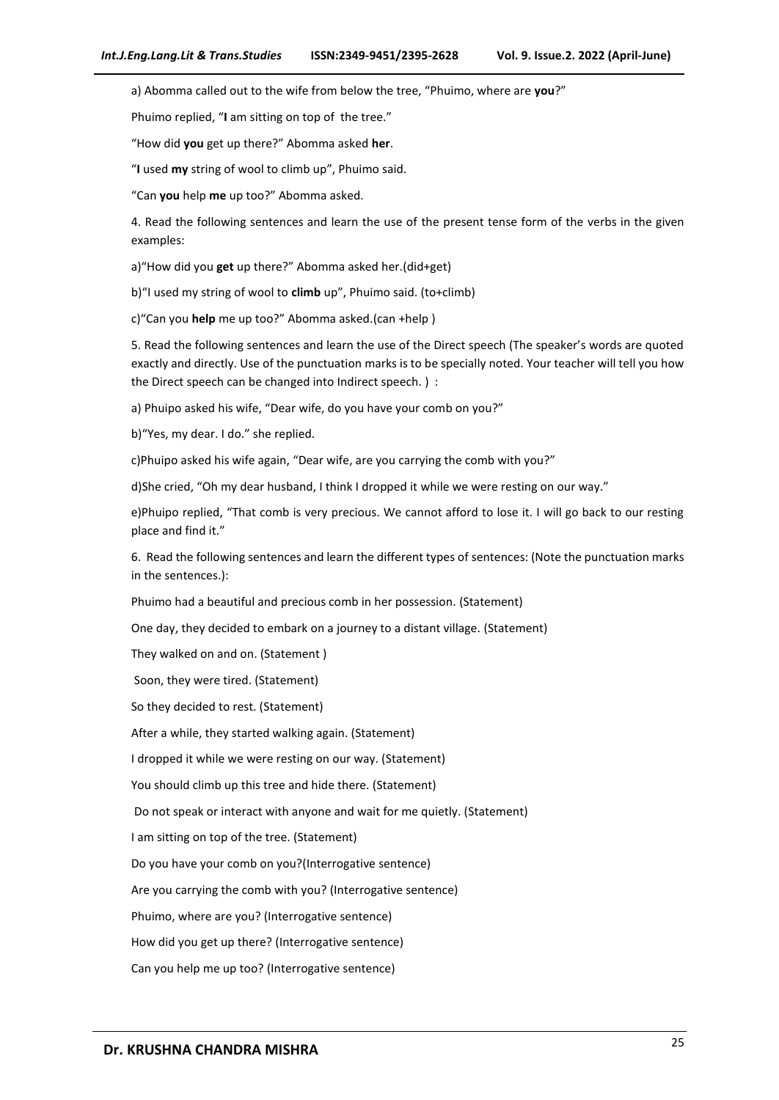a) Abomma called out to the wife from below the tree, "Phuimo, where are **you**?"

Phuimo replied, "**I** am sitting on top of the tree."

"How did **you** get up there?" Abomma asked **her**.

"**I** used **my** string of wool to climb up", Phuimo said.

"Can **you** help **me** up too?" Abomma asked.

4. Read the following sentences and learn the use of the present tense form of the verbs in the given examples:

a)"How did you **get** up there?" Abomma asked her.(did+get)

b)"I used my string of wool to **climb** up", Phuimo said. (to+climb)

c)"Can you **help** me up too?" Abomma asked.(can +help )

5. Read the following sentences and learn the use of the Direct speech (The speaker's words are quoted exactly and directly. Use of the punctuation marks is to be specially noted. Your teacher will tell you how the Direct speech can be changed into Indirect speech. ) :

a) Phuipo asked his wife, "Dear wife, do you have your comb on you?"

b)"Yes, my dear. I do." she replied.

c)Phuipo asked his wife again, "Dear wife, are you carrying the comb with you?"

d)She cried, "Oh my dear husband, I think I dropped it while we were resting on our way."

e)Phuipo replied, "That comb is very precious. We cannot afford to lose it. I will go back to our resting place and find it."

6. Read the following sentences and learn the different types of sentences: (Note the punctuation marks in the sentences.):

Phuimo had a beautiful and precious comb in her possession. (Statement)

One day, they decided to embark on a journey to a distant village. (Statement)

They walked on and on. (Statement )

Soon, they were tired. (Statement)

So they decided to rest. (Statement)

After a while, they started walking again. (Statement)

I dropped it while we were resting on our way. (Statement)

You should climb up this tree and hide there. (Statement)

Do not speak or interact with anyone and wait for me quietly. (Statement)

I am sitting on top of the tree. (Statement)

Do you have your comb on you?(Interrogative sentence)

Are you carrying the comb with you? (Interrogative sentence)

Phuimo, where are you? (Interrogative sentence)

How did you get up there? (Interrogative sentence)

Can you help me up too? (Interrogative sentence)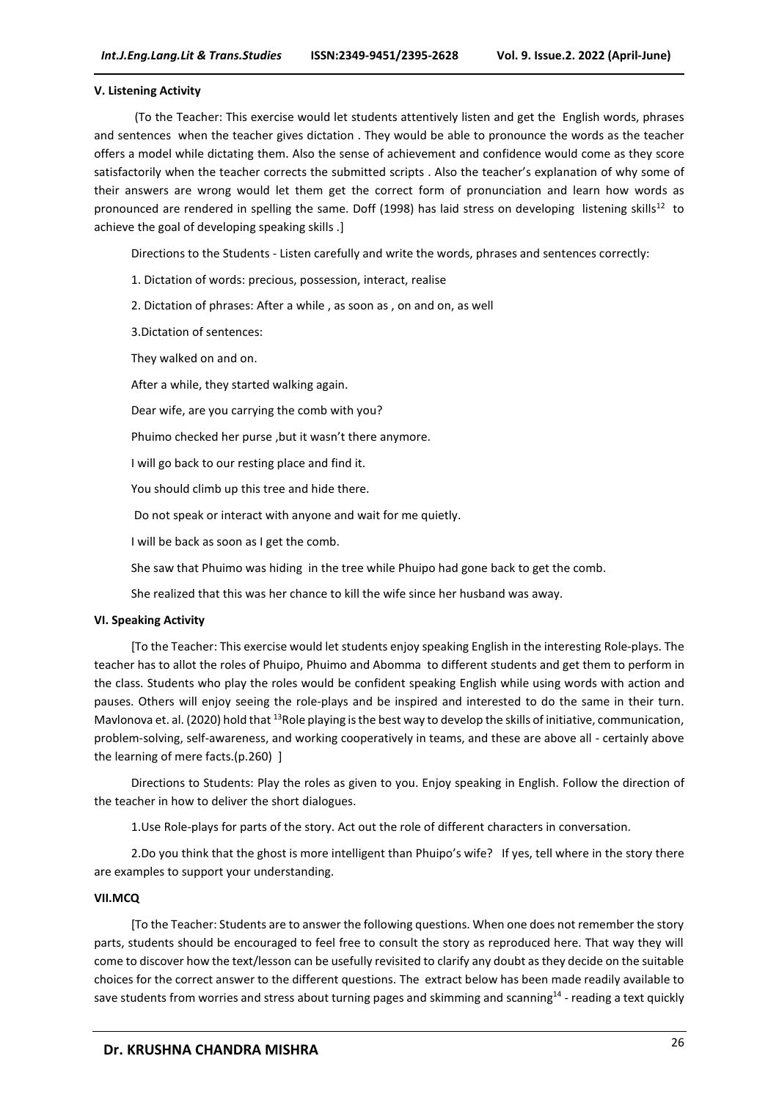#### **V. Listening Activity**

(To the Teacher: This exercise would let students attentively listen and get the English words, phrases and sentences when the teacher gives dictation . They would be able to pronounce the words as the teacher offers a model while dictating them. Also the sense of achievement and confidence would come as they score satisfactorily when the teacher corrects the submitted scripts . Also the teacher's explanation of why some of their answers are wrong would let them get the correct form of pronunciation and learn how words as pronounced are rendered in spelling the same. Doff (1998) has laid stress on developing listening skills<sup>12</sup> to achieve the goal of developing speaking skills .]

Directions to the Students - Listen carefully and write the words, phrases and sentences correctly:

1. Dictation of words: precious, possession, interact, realise

2. Dictation of phrases: After a while , as soon as , on and on, as well

3.Dictation of sentences:

They walked on and on.

After a while, they started walking again.

Dear wife, are you carrying the comb with you?

Phuimo checked her purse ,but it wasn't there anymore.

I will go back to our resting place and find it.

You should climb up this tree and hide there.

Do not speak or interact with anyone and wait for me quietly.

I will be back as soon as I get the comb.

She saw that Phuimo was hiding in the tree while Phuipo had gone back to get the comb.

She realized that this was her chance to kill the wife since her husband was away.

#### **VI. Speaking Activity**

[To the Teacher: This exercise would let students enjoy speaking English in the interesting Role-plays. The teacher has to allot the roles of Phuipo, Phuimo and Abomma to different students and get them to perform in the class. Students who play the roles would be confident speaking English while using words with action and pauses. Others will enjoy seeing the role-plays and be inspired and interested to do the same in their turn. Mavlonova et. al. (2020) hold that <sup>13</sup>Role playing is the best way to develop the skills of initiative, communication, problem-solving, self-awareness, and working cooperatively in teams, and these are above all - certainly above the learning of mere facts.(p.260) ]

Directions to Students: Play the roles as given to you. Enjoy speaking in English. Follow the direction of the teacher in how to deliver the short dialogues.

1.Use Role-plays for parts of the story. Act out the role of different characters in conversation.

2.Do you think that the ghost is more intelligent than Phuipo's wife? If yes, tell where in the story there are examples to support your understanding.

#### **VII.MCQ**

[To the Teacher: Students are to answer the following questions. When one does not remember the story parts, students should be encouraged to feel free to consult the story as reproduced here. That way they will come to discover how the text/lesson can be usefully revisited to clarify any doubt as they decide on the suitable choices for the correct answer to the different questions. The extract below has been made readily available to save students from worries and stress about turning pages and skimming and scanning<sup>14</sup> - reading a text quickly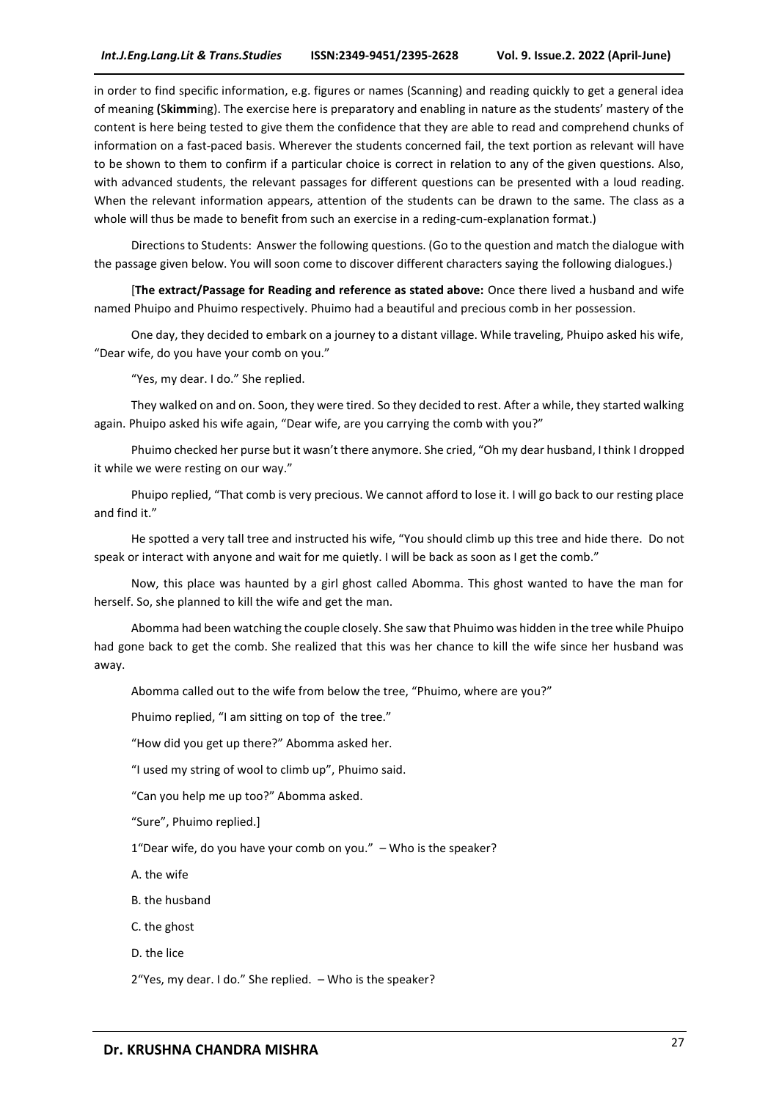in order to find specific information, e.g. figures or names (Scanning) and reading quickly to get a general idea of meaning **(**S**kimm**ing). The exercise here is preparatory and enabling in nature as the students' mastery of the content is here being tested to give them the confidence that they are able to read and comprehend chunks of information on a fast-paced basis. Wherever the students concerned fail, the text portion as relevant will have to be shown to them to confirm if a particular choice is correct in relation to any of the given questions. Also, with advanced students, the relevant passages for different questions can be presented with a loud reading. When the relevant information appears, attention of the students can be drawn to the same. The class as a whole will thus be made to benefit from such an exercise in a reding-cum-explanation format.)

Directions to Students: Answer the following questions. (Go to the question and match the dialogue with the passage given below. You will soon come to discover different characters saying the following dialogues.)

[**The extract/Passage for Reading and reference as stated above:** Once there lived a husband and wife named Phuipo and Phuimo respectively. Phuimo had a beautiful and precious comb in her possession.

One day, they decided to embark on a journey to a distant village. While traveling, Phuipo asked his wife, "Dear wife, do you have your comb on you."

"Yes, my dear. I do." She replied.

They walked on and on. Soon, they were tired. So they decided to rest. After a while, they started walking again. Phuipo asked his wife again, "Dear wife, are you carrying the comb with you?"

Phuimo checked her purse but it wasn't there anymore. She cried, "Oh my dear husband, I think I dropped it while we were resting on our way."

Phuipo replied, "That comb is very precious. We cannot afford to lose it. I will go back to our resting place and find it."

He spotted a very tall tree and instructed his wife, "You should climb up this tree and hide there. Do not speak or interact with anyone and wait for me quietly. I will be back as soon as I get the comb."

Now, this place was haunted by a girl ghost called Abomma. This ghost wanted to have the man for herself. So, she planned to kill the wife and get the man.

Abomma had been watching the couple closely. She saw that Phuimo was hidden in the tree while Phuipo had gone back to get the comb. She realized that this was her chance to kill the wife since her husband was away.

Abomma called out to the wife from below the tree, "Phuimo, where are you?"

Phuimo replied, "I am sitting on top of the tree."

"How did you get up there?" Abomma asked her.

"I used my string of wool to climb up", Phuimo said.

"Can you help me up too?" Abomma asked.

"Sure", Phuimo replied.]

1"Dear wife, do you have your comb on you." – Who is the speaker?

A. the wife

B. the husband

C. the ghost

D. the lice

2"Yes, my dear. I do." She replied. – Who is the speaker?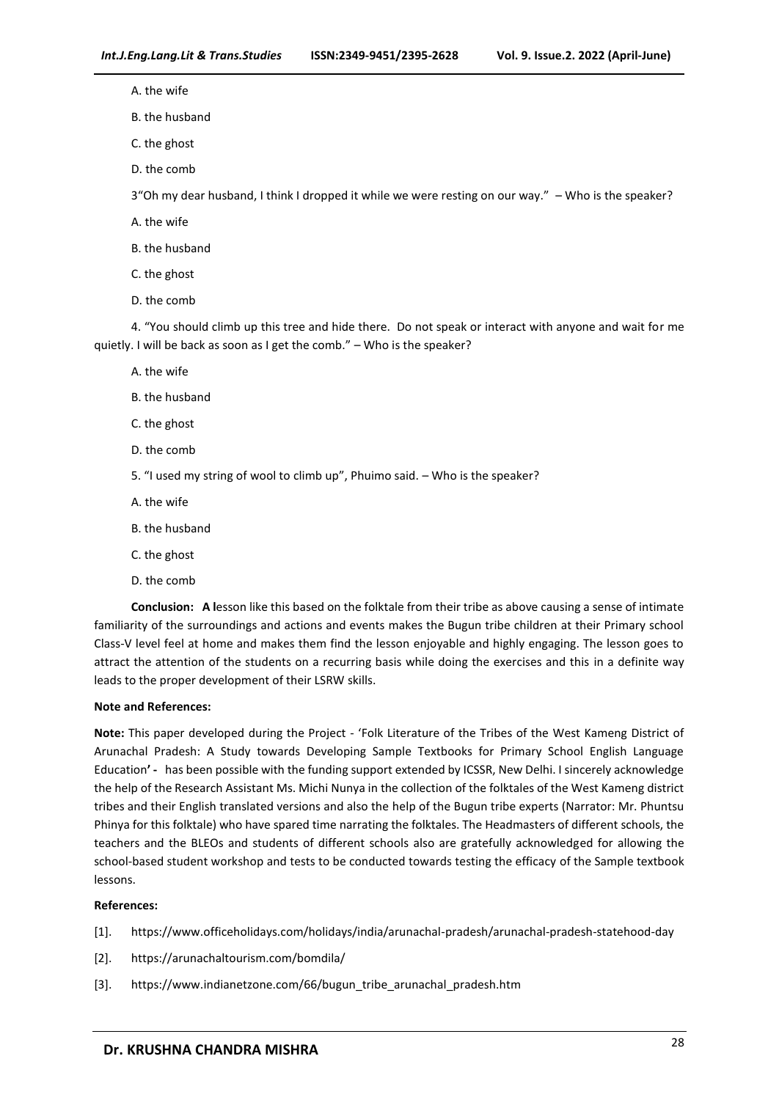A. the wife

B. the husband

C. the ghost

D. the comb

3"Oh my dear husband, I think I dropped it while we were resting on our way." – Who is the speaker?

A. the wife

B. the husband

- C. the ghost
- D. the comb

4. "You should climb up this tree and hide there. Do not speak or interact with anyone and wait for me quietly. I will be back as soon as I get the comb." – Who is the speaker?

A. the wife

- B. the husband
- C. the ghost
- D. the comb
- 5. "I used my string of wool to climb up", Phuimo said. Who is the speaker?
- A. the wife
- B. the husband
- C. the ghost
- D. the comb

**Conclusion: A l**esson like this based on the folktale from their tribe as above causing a sense of intimate familiarity of the surroundings and actions and events makes the Bugun tribe children at their Primary school Class-V level feel at home and makes them find the lesson enjoyable and highly engaging. The lesson goes to attract the attention of the students on a recurring basis while doing the exercises and this in a definite way leads to the proper development of their LSRW skills.

#### **Note and References:**

**Note:** This paper developed during the Project - 'Folk Literature of the Tribes of the West Kameng District of Arunachal Pradesh: A Study towards Developing Sample Textbooks for Primary School English Language Education**' -** has been possible with the funding support extended by ICSSR, New Delhi. I sincerely acknowledge the help of the Research Assistant Ms. Michi Nunya in the collection of the folktales of the West Kameng district tribes and their English translated versions and also the help of the Bugun tribe experts (Narrator: Mr. Phuntsu Phinya for this folktale) who have spared time narrating the folktales. The Headmasters of different schools, the teachers and the BLEOs and students of different schools also are gratefully acknowledged for allowing the school-based student workshop and tests to be conducted towards testing the efficacy of the Sample textbook lessons.

#### **References:**

- [1]. https://www.officeholidays.com/holidays/india/arunachal-pradesh/arunachal-pradesh-statehood-day
- [2]. https://arunachaltourism.com/bomdila/
- [3]. https://www.indianetzone.com/66/bugun\_tribe\_arunachal\_pradesh.htm